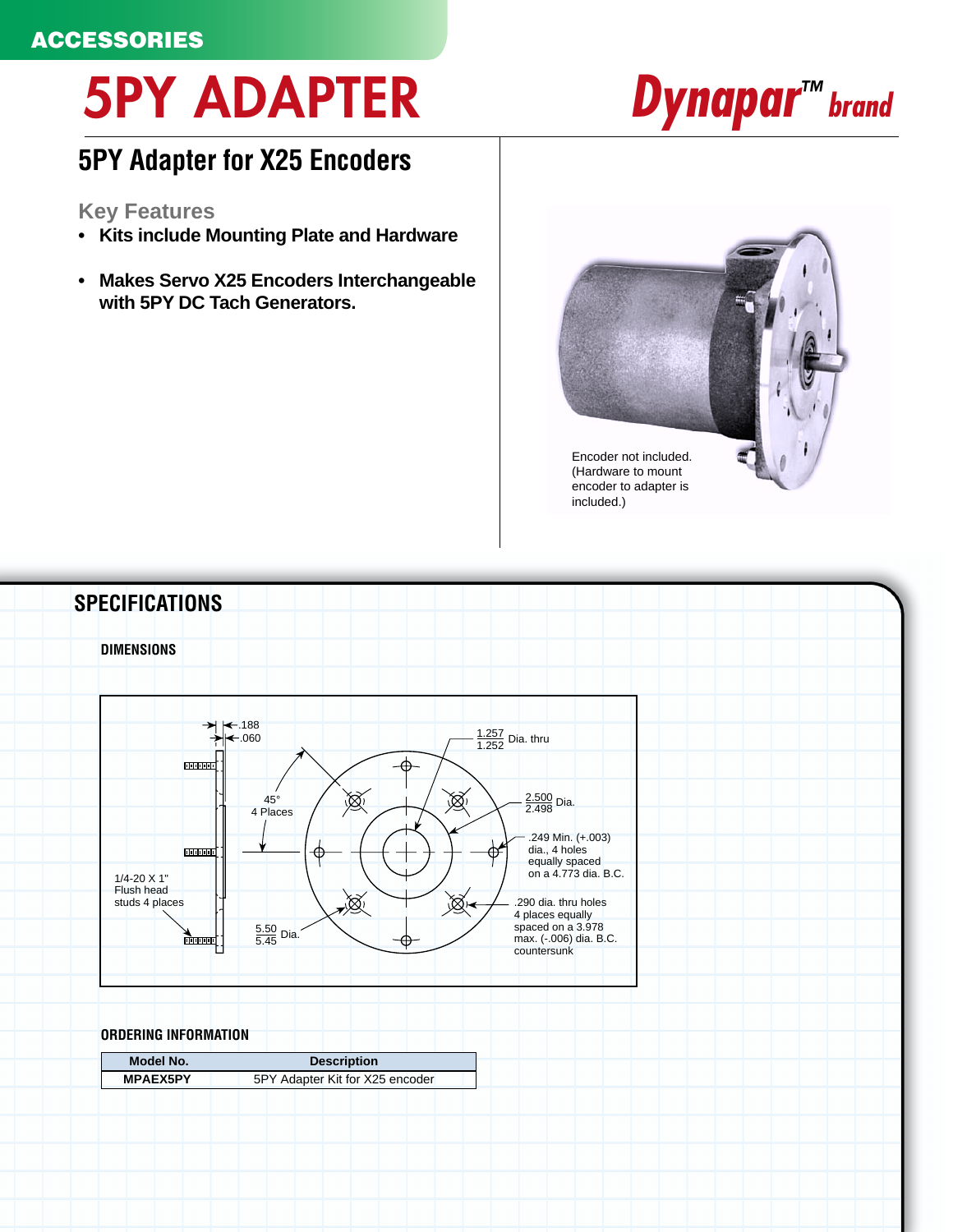# **5PY ADAPTER**

## *Dynapar<sup>TM</sup> brand*

### **5PY Adapter for X25 Encoders**

### **Key Features**

- **Kits include Mounting Plate and Hardware**
- **Makes Servo X25 Encoders Interchangeable with 5PY DC Tach Generators.**